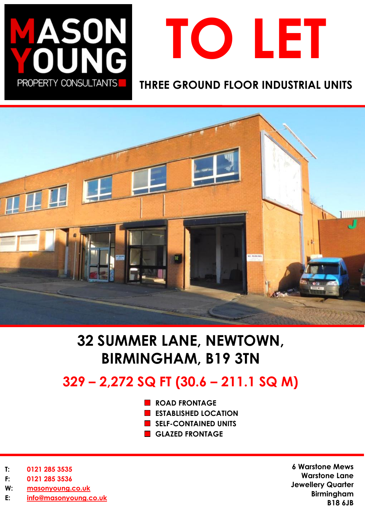



### **THREE GROUND FLOOR INDUSTRIAL UNITS**



# **32 SUMMER LANE, NEWTOWN, BIRMINGHAM, B19 3TN**

## **329 – 2,272 SQ FT (30.6 – 211.1 SQ M)**

- **ROAD FRONTAGE**
- **ESTABLISHED LOCATION**
- **SELF-CONTAINED UNITS**
- **GLAZED FRONTAGE**

- **T: 0121 285 3535**
- **F: 0121 285 3536**
- **W: [masonyoung.co.uk](http://www.masonyoung.co.uk/)**
- **E: [info@masonyoung.co.uk](mailto:info@masonyoung.co.uk)**

**6 Warstone Mews Warstone Lane Jewellery Quarter Birmingham B18 6JB**